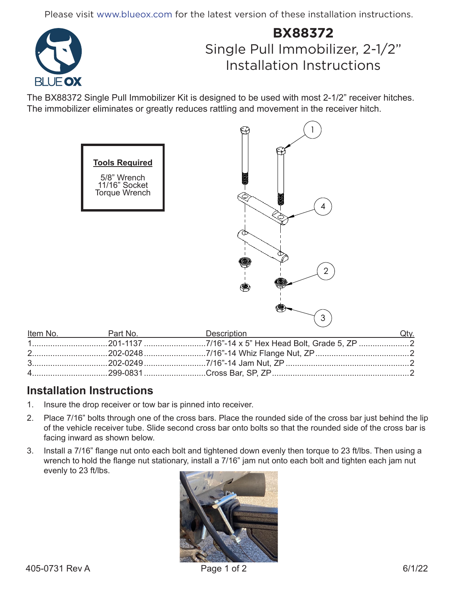Please visit www.blueox.com for the latest version of these installation instructions.



## **BX88372** Single Pull Immobilizer, 2-1/2" Installation Instructions

The BX88372 Single Pull Immobilizer Kit is designed to be used with most 2-1/2" receiver hitches. The immobilizer eliminates or greatly reduces rattling and movement in the receiver hitch.



## **Installation Instructions**

- 1. Insure the drop receiver or tow bar is pinned into receiver.
- 2. Place 7/16" bolts through one of the cross bars. Place the rounded side of the cross bar just behind the lip of the vehicle receiver tube. Slide second cross bar onto bolts so that the rounded side of the cross bar is facing inward as shown below.
- 3. Install a 7/16" flange nut onto each bolt and tightened down evenly then torque to 23 ft/lbs. Then using a wrench to hold the flange nut stationary, install a 7/16" jam nut onto each bolt and tighten each jam nut evenly to 23 ft/lbs.